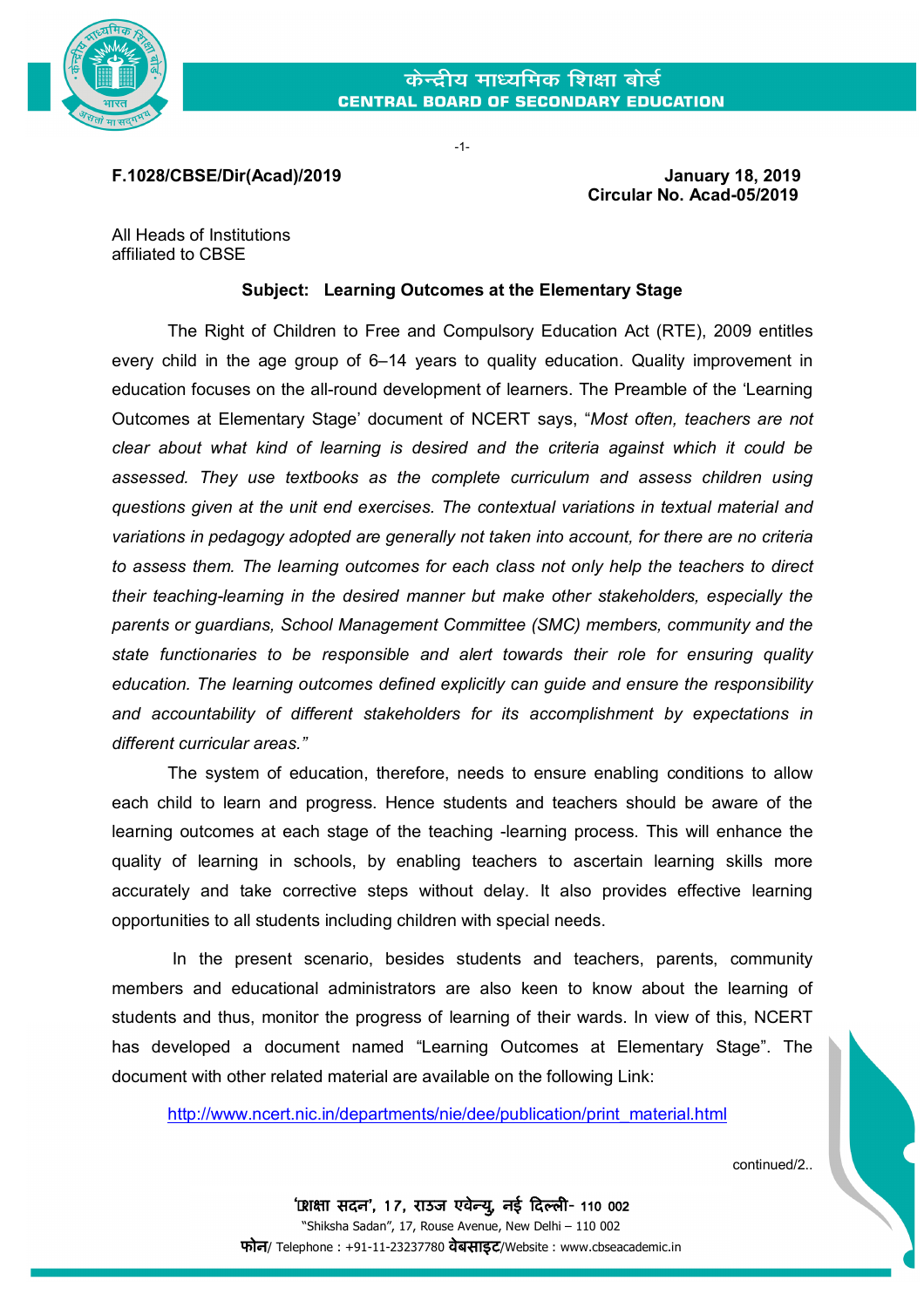

-1-

**F.1028/CBSE/Dir(Acad)/2019 January 18, 2019**

 **Circular No. Acad-05/2019**

All Heads of Institutions affiliated to CBSE

## **Subject: Learning Outcomes at the Elementary Stage**

The Right of Children to Free and Compulsory Education Act (RTE), 2009 entitles every child in the age group of 6–14 years to quality education. Quality improvement in education focuses on the all-round development of learners. The Preamble of the 'Learning Outcomes at Elementary Stage' document of NCERT says, "*Most often, teachers are not clear about what kind of learning is desired and the criteria against which it could be assessed. They use textbooks as the complete curriculum and assess children using questions given at the unit end exercises. The contextual variations in textual material and variations in pedagogy adopted are generally not taken into account, for there are no criteria to assess them. The learning outcomes for each class not only help the teachers to direct their teaching-learning in the desired manner but make other stakeholders, especially the parents or guardians, School Management Committee (SMC) members, community and the state functionaries to be responsible and alert towards their role for ensuring quality education. The learning outcomes defined explicitly can guide and ensure the responsibility and accountability of different stakeholders for its accomplishment by expectations in different curricular areas."*

The system of education, therefore, needs to ensure enabling conditions to allow each child to learn and progress. Hence students and teachers should be aware of the learning outcomes at each stage of the teaching -learning process. This will enhance the quality of learning in schools, by enabling teachers to ascertain learning skills more accurately and take corrective steps without delay. It also provides effective learning opportunities to all students including children with special needs.

In the present scenario, besides students and teachers, parents, community members and educational administrators are also keen to know about the learning of students and thus, monitor the progress of learning of their wards. In view of this, NCERT has developed a document named "Learning Outcomes at Elementary Stage". The document with other related material are available on the following Link:

[http://www.ncert.nic.in/departments/nie/dee/publication/print\\_material.html](http://www.ncert.nic.in/departments/nie/dee/publication/print_material.html)

continued/2..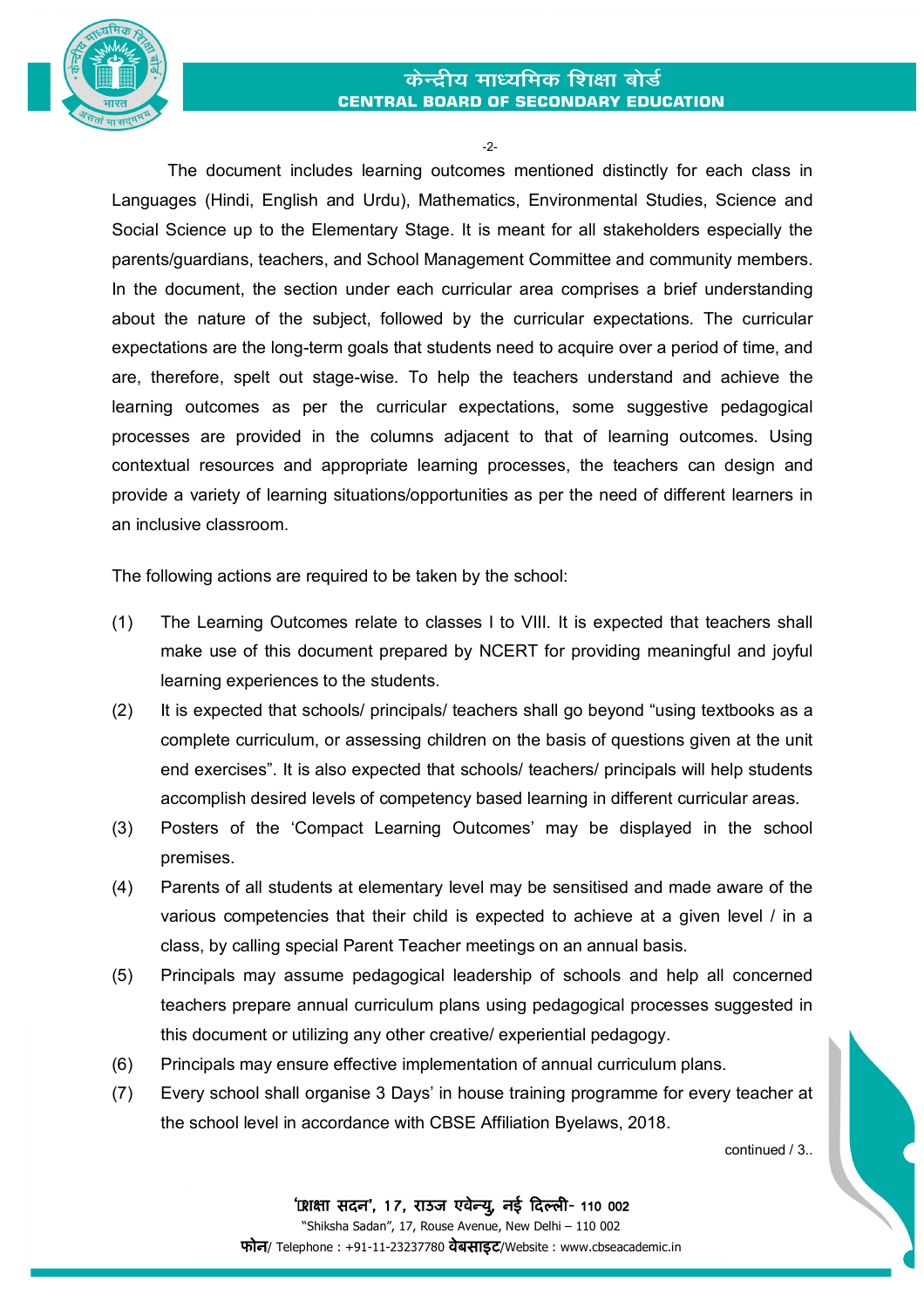



-2-

The document includes learning outcomes mentioned distinctly for each class in Languages (Hindi, English and Urdu), Mathematics, Environmental Studies, Science and Social Science up to the Elementary Stage. It is meant for all stakeholders especially the parents/guardians, teachers, and School Management Committee and community members. In the document, the section under each curricular area comprises a brief understanding about the nature of the subject, followed by the curricular expectations. The curricular expectations are the long-term goals that students need to acquire over a period of time, and are, therefore, spelt out stage-wise. To help the teachers understand and achieve the learning outcomes as per the curricular expectations, some suggestive pedagogical processes are provided in the columns adjacent to that of learning outcomes. Using contextual resources and appropriate learning processes, the teachers can design and provide a variety of learning situations/opportunities as per the need of different learners in an inclusive classroom.

The following actions are required to be taken by the school:

- (1) The Learning Outcomes relate to classes I to VIII. It is expected that teachers shall make use of this document prepared by NCERT for providing meaningful and joyful learning experiences to the students.
- (2) It is expected that schools/ principals/ teachers shall go beyond "using textbooks as a complete curriculum, or assessing children on the basis of questions given at the unit end exercises". It is also expected that schools/ teachers/ principals will help students accomplish desired levels of competency based learning in different curricular areas.
- (3) Posters of the 'Compact Learning Outcomes' may be displayed in the school premises.
- (4) Parents of all students at elementary level may be sensitised and made aware of the various competencies that their child is expected to achieve at a given level / in a class, by calling special Parent Teacher meetings on an annual basis.
- (5) Principals may assume pedagogical leadership of schools and help all concerned teachers prepare annual curriculum plans using pedagogical processes suggested in this document or utilizing any other creative/ experiential pedagogy.
- (6) Principals may ensure effective implementation of annual curriculum plans.
- (7) Every school shall organise 3 Days' in house training programme for every teacher at the school level in accordance with CBSE Affiliation Byelaws, 2018.

continued / 3..